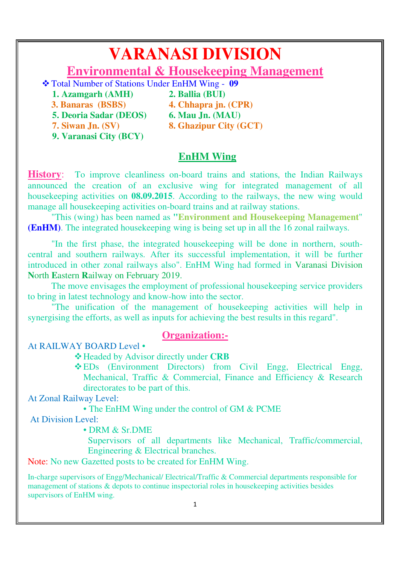# **VARANASI DIVISION Environmental & Housekeeping Management** Total Number of Stations Under EnHM Wing - **09 1. Azamgarh (AMH) 2. Ballia (BUI) 3. Banaras (BSBS) 4. Chhapra jn. (CPR)**

- **5. Deoria Sadar (DEOS) 6. Mau Jn. (MAU)**
- -
- 
- **9. Varanasi City (BCY)**
- 
- **7. Siwan Jn. (SV) 8. Ghazipur City (GCT)**

## **EnHM Wing**

**History:** To improve cleanliness on-board trains and stations, the Indian Railways announced the creation of an exclusive wing for integrated management of all housekeeping activities on **08.09.2015**. According to the railways, the new wing would manage all housekeeping activities on-board trains and at railway stations.

"This (wing) has been named as **"Environment and Housekeeping Management**" **(EnHM)**. The integrated housekeeping wing is being set up in all the 16 zonal railways.

"In the first phase, the integrated housekeeping will be done in northern, southcentral and southern railways. After its successful implementation, it will be further introduced in other zonal railways also". EnHM Wing had formed in Varanasi Division **N**orth **E**astern **R**ailway on February 2019.

The move envisages the employment of professional housekeeping service providers to bring in latest technology and know-how into the sector.

"The unification of the management of housekeeping activities will help in synergising the efforts, as well as inputs for achieving the best results in this regard".

### **Organization:-**

#### At RAILWAY BOARD Level •

Headed by Advisor directly under **CRB** 

EDs (Environment Directors) from Civil Engg, Electrical Engg, Mechanical, Traffic & Commercial, Finance and Efficiency & Research directorates to be part of this.

At Zonal Railway Level:

• The EnHM Wing under the control of GM & PCME

At Division Level:

• DRM & Sr.DME

Supervisors of all departments like Mechanical, Traffic/commercial, Engineering & Electrical branches.

Note: No new Gazetted posts to be created for EnHM Wing.

In-charge supervisors of Engg/Mechanical/ Electrical/Traffic & Commercial departments responsible for management of stations & depots to continue inspectorial roles in housekeeping activities besides supervisors of EnHM wing.